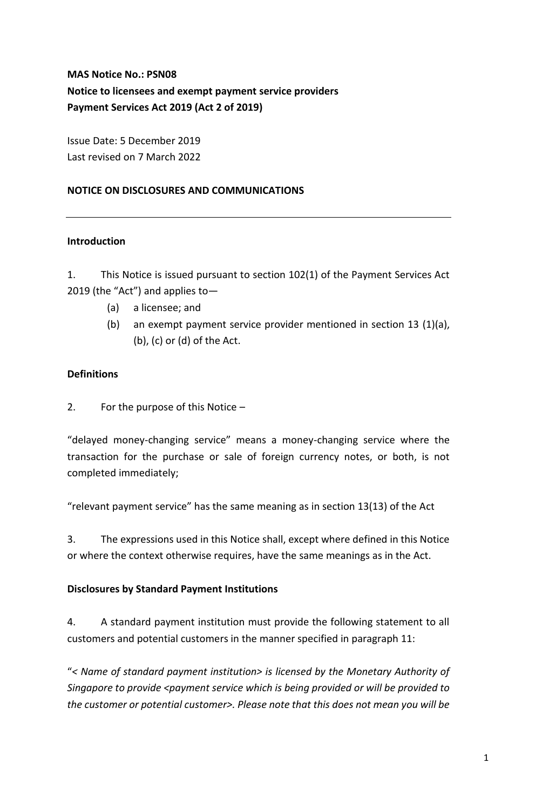# **MAS Notice No.: PSN08 Notice to licensees and exempt payment service providers Payment Services Act 2019 (Act 2 of 2019)**

Issue Date: 5 December 2019 Last revised on 7 March 2022

### **NOTICE ON DISCLOSURES AND COMMUNICATIONS**

### **Introduction**

1. This Notice is issued pursuant to section 102(1) of the Payment Services Act 2019 (the "Act") and applies to—

- (a) a licensee; and
- (b) an exempt payment service provider mentioned in section 13 (1)(a), (b), (c) or (d) of the Act.

### **Definitions**

2. For the purpose of this Notice –

"delayed money-changing service" means a money-changing service where the transaction for the purchase or sale of foreign currency notes, or both, is not completed immediately;

"relevant payment service" has the same meaning as in section 13(13) of the Act

3. The expressions used in this Notice shall, except where defined in this Notice or where the context otherwise requires, have the same meanings as in the Act.

### **Disclosures by Standard Payment Institutions**

4. A standard payment institution must provide the following statement to all customers and potential customers in the manner specified in paragraph 11:

"*< Name of standard payment institution> is licensed by the Monetary Authority of Singapore to provide <payment service which is being provided or will be provided to the customer or potential customer>. Please note that this does not mean you will be*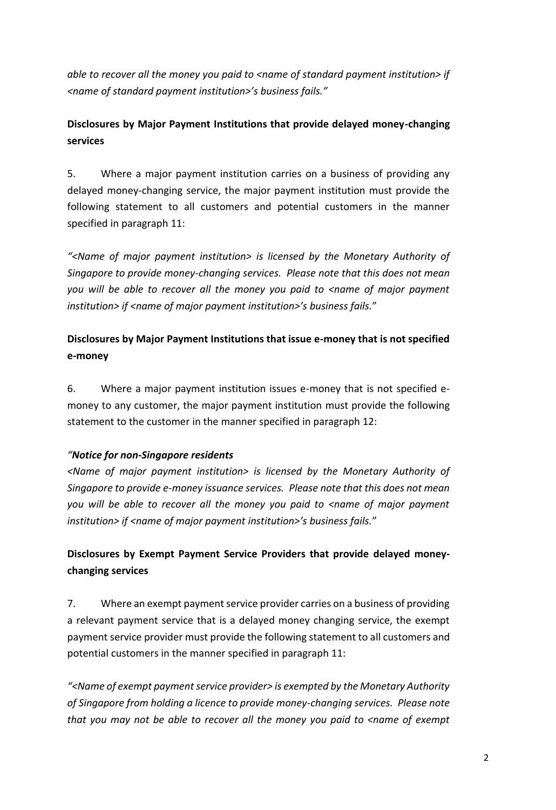*able to recover all the money you paid to <name of standard payment institution> if <name of standard payment institution>'s business fails."*

# **Disclosures by Major Payment Institutions that provide delayed money-changing services**

5. Where a major payment institution carries on a business of providing any delayed money-changing service, the major payment institution must provide the following statement to all customers and potential customers in the manner specified in paragraph 11:

*"<Name of major payment institution> is licensed by the Monetary Authority of Singapore to provide money-changing services. Please note that this does not mean you will be able to recover all the money you paid to <name of major payment institution> if <name of major payment institution>'s business fails.*"

# **Disclosures by Major Payment Institutions that issue e-money that is not specified e-money**

6. Where a major payment institution issues e-money that is not specified emoney to any customer, the major payment institution must provide the following statement to the customer in the manner specified in paragraph 12:

### *"Notice for non-Singapore residents*

*<Name of major payment institution> is licensed by the Monetary Authority of Singapore to provide e-money issuance services. Please note that this does not mean you will be able to recover all the money you paid to <name of major payment institution> if <name of major payment institution>'s business fails.*"

# **Disclosures by Exempt Payment Service Providers that provide delayed moneychanging services**

7. Where an exempt payment service provider carries on a business of providing a relevant payment service that is a delayed money changing service, the exempt payment service provider must provide the following statement to all customers and potential customers in the manner specified in paragraph 11:

*"<Name of exempt payment service provider> is exempted by the Monetary Authority of Singapore from holding a licence to provide money-changing services. Please note that you may not be able to recover all the money you paid to <name of exempt*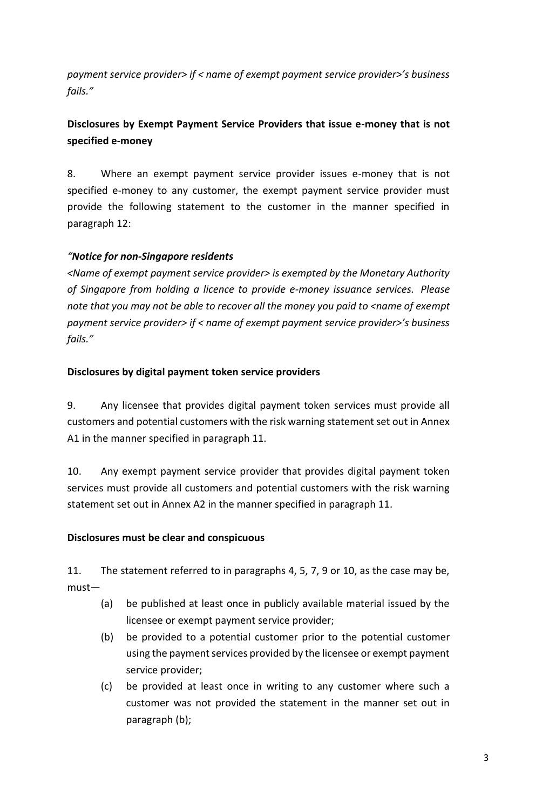*payment service provider> if < name of exempt payment service provider>'s business fails."* 

# **Disclosures by Exempt Payment Service Providers that issue e-money that is not specified e-money**

8. Where an exempt payment service provider issues e-money that is not specified e-money to any customer, the exempt payment service provider must provide the following statement to the customer in the manner specified in paragraph 12:

## *"Notice for non-Singapore residents*

*<Name of exempt payment service provider> is exempted by the Monetary Authority of Singapore from holding a licence to provide e-money issuance services. Please note that you may not be able to recover all the money you paid to <name of exempt payment service provider> if < name of exempt payment service provider>'s business fails."* 

### **Disclosures by digital payment token service providers**

9. Any licensee that provides digital payment token services must provide all customers and potential customers with the risk warning statement set out in Annex A1 in the manner specified in paragraph 11.

10. Any exempt payment service provider that provides digital payment token services must provide all customers and potential customers with the risk warning statement set out in Annex A2 in the manner specified in paragraph 11.

## **Disclosures must be clear and conspicuous**

11. The statement referred to in paragraphs 4, 5, 7, 9 or 10, as the case may be, must—

- (a) be published at least once in publicly available material issued by the licensee or exempt payment service provider;
- (b) be provided to a potential customer prior to the potential customer using the payment services provided by the licensee or exempt payment service provider;
- (c) be provided at least once in writing to any customer where such a customer was not provided the statement in the manner set out in paragraph (b);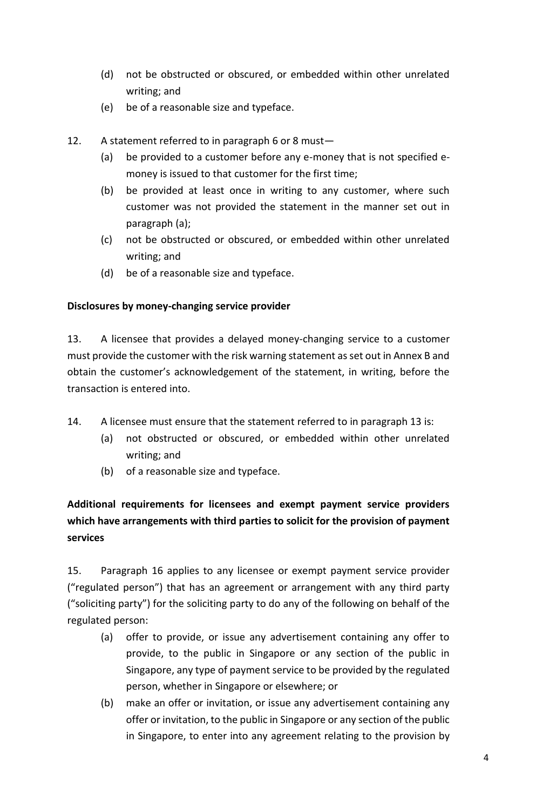- (d) not be obstructed or obscured, or embedded within other unrelated writing; and
- (e) be of a reasonable size and typeface.
- 12. A statement referred to in paragraph 6 or 8 must—
	- (a) be provided to a customer before any e-money that is not specified emoney is issued to that customer for the first time;
	- (b) be provided at least once in writing to any customer, where such customer was not provided the statement in the manner set out in paragraph (a);
	- (c) not be obstructed or obscured, or embedded within other unrelated writing; and
	- (d) be of a reasonable size and typeface.

### **Disclosures by money-changing service provider**

13. A licensee that provides a delayed money-changing service to a customer must provide the customer with the risk warning statement as set out in Annex B and obtain the customer's acknowledgement of the statement, in writing, before the transaction is entered into.

- 14. A licensee must ensure that the statement referred to in paragraph 13 is:
	- (a) not obstructed or obscured, or embedded within other unrelated writing; and
	- (b) of a reasonable size and typeface.

# **Additional requirements for licensees and exempt payment service providers which have arrangements with third parties to solicit for the provision of payment services**

15. Paragraph 16 applies to any licensee or exempt payment service provider ("regulated person") that has an agreement or arrangement with any third party ("soliciting party") for the soliciting party to do any of the following on behalf of the regulated person:

- (a) offer to provide, or issue any advertisement containing any offer to provide, to the public in Singapore or any section of the public in Singapore, any type of payment service to be provided by the regulated person, whether in Singapore or elsewhere; or
- (b) make an offer or invitation, or issue any advertisement containing any offer or invitation, to the public in Singapore or any section of the public in Singapore, to enter into any agreement relating to the provision by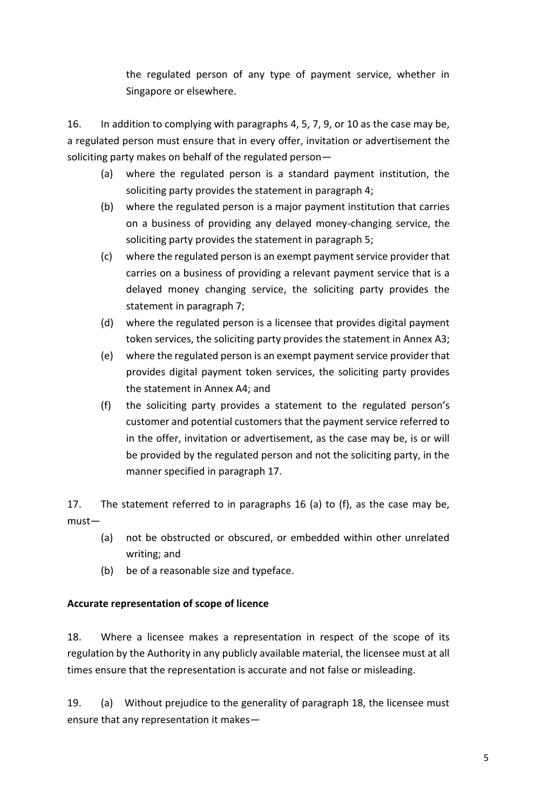the regulated person of any type of payment service, whether in Singapore or elsewhere.

16. In addition to complying with paragraphs 4, 5, 7, 9, or 10 as the case may be, a regulated person must ensure that in every offer, invitation or advertisement the soliciting party makes on behalf of the regulated person—

- (a) where the regulated person is a standard payment institution, the soliciting party provides the statement in paragraph 4;
- (b) where the regulated person is a major payment institution that carries on a business of providing any delayed money-changing service, the soliciting party provides the statement in paragraph 5;
- (c) where the regulated person is an exempt payment service provider that carries on a business of providing a relevant payment service that is a delayed money changing service, the soliciting party provides the statement in paragraph 7;
- (d) where the regulated person is a licensee that provides digital payment token services, the soliciting party provides the statement in Annex A3;
- (e) where the regulated person is an exempt payment service provider that provides digital payment token services, the soliciting party provides the statement in Annex A4; and
- (f) the soliciting party provides a statement to the regulated person's customer and potential customers that the payment service referred to in the offer, invitation or advertisement, as the case may be, is or will be provided by the regulated person and not the soliciting party, in the manner specified in paragraph 17.

17. The statement referred to in paragraphs 16 (a) to (f), as the case may be, must—

- (a) not be obstructed or obscured, or embedded within other unrelated writing; and
- (b) be of a reasonable size and typeface.

### **Accurate representation of scope of licence**

18. Where a licensee makes a representation in respect of the scope of its regulation by the Authority in any publicly available material, the licensee must at all times ensure that the representation is accurate and not false or misleading.

19. (a) Without prejudice to the generality of paragraph 18, the licensee must ensure that any representation it makes—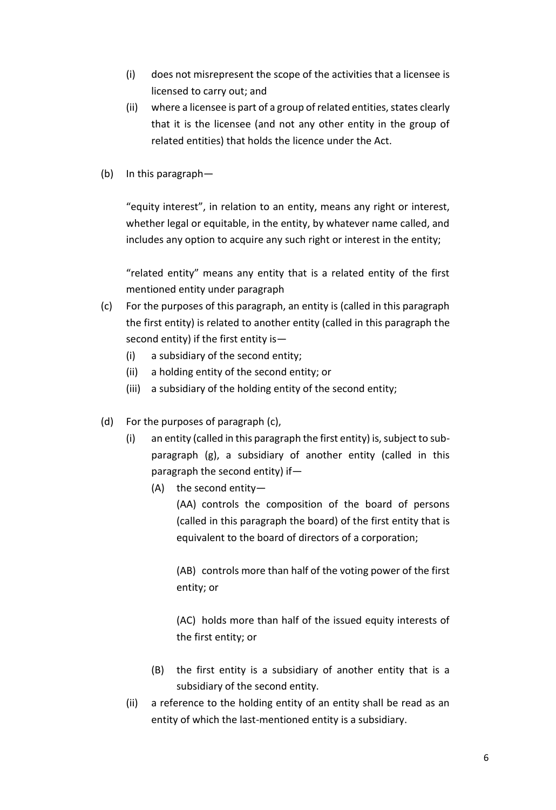- (i) does not misrepresent the scope of the activities that a licensee is licensed to carry out; and
- (ii) where a licensee is part of a group of related entities, states clearly that it is the licensee (and not any other entity in the group of related entities) that holds the licence under the Act.
- (b) In this paragraph—

"equity interest", in relation to an entity, means any right or interest, whether legal or equitable, in the entity, by whatever name called, and includes any option to acquire any such right or interest in the entity;

"related entity" means any entity that is a related entity of the first mentioned entity under paragraph

- (c) For the purposes of this paragraph, an entity is (called in this paragraph the first entity) is related to another entity (called in this paragraph the second entity) if the first entity is—
	- (i) a subsidiary of the second entity;
	- (ii) a holding entity of the second entity; or
	- (iii) a subsidiary of the holding entity of the second entity;
- (d) For the purposes of paragraph (c),
	- (i) an entity (called in this paragraph the first entity) is, subject to subparagraph (g), a subsidiary of another entity (called in this paragraph the second entity) if—
		- (A) the second entity—

(AA) controls the composition of the board of persons (called in this paragraph the board) of the first entity that is equivalent to the board of directors of a corporation;

(AB) controls more than half of the voting power of the first entity; or

(AC) holds more than half of the issued equity interests of the first entity; or

- (B) the first entity is a subsidiary of another entity that is a subsidiary of the second entity.
- (ii) a reference to the holding entity of an entity shall be read as an entity of which the last-mentioned entity is a subsidiary.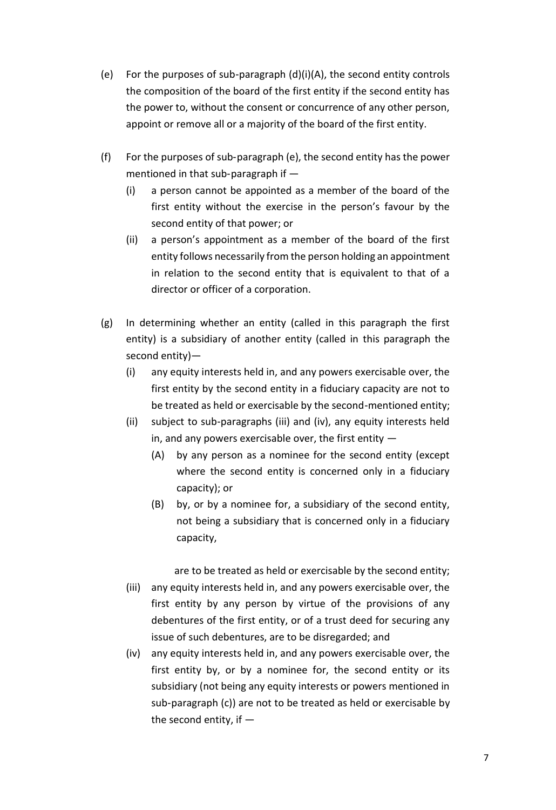- (e) For the purposes of sub‑paragraph (d)(i)(A), the second entity controls the composition of the board of the first entity if the second entity has the power to, without the consent or concurrence of any other person, appoint or remove all or a majority of the board of the first entity.
- (f) For the purposes of sub‑paragraph (e), the second entity has the power mentioned in that sub-paragraph if  $-$ 
	- (i) a person cannot be appointed as a member of the board of the first entity without the exercise in the person's favour by the second entity of that power; or
	- (ii) a person's appointment as a member of the board of the first entity follows necessarily from the person holding an appointment in relation to the second entity that is equivalent to that of a director or officer of a corporation.
- (g) In determining whether an entity (called in this paragraph the first entity) is a subsidiary of another entity (called in this paragraph the second entity)—
	- (i) any equity interests held in, and any powers exercisable over, the first entity by the second entity in a fiduciary capacity are not to be treated as held or exercisable by the second-mentioned entity;
	- (ii) subject to sub‑paragraphs (iii) and (iv), any equity interests held in, and any powers exercisable over, the first entity  $-$ 
		- (A) by any person as a nominee for the second entity (except where the second entity is concerned only in a fiduciary capacity); or
		- (B) by, or by a nominee for, a subsidiary of the second entity, not being a subsidiary that is concerned only in a fiduciary capacity,

are to be treated as held or exercisable by the second entity; (iii) any equity interests held in, and any powers exercisable over, the first entity by any person by virtue of the provisions of any debentures of the first entity, or of a trust deed for securing any issue of such debentures, are to be disregarded; and

(iv) any equity interests held in, and any powers exercisable over, the first entity by, or by a nominee for, the second entity or its subsidiary (not being any equity interests or powers mentioned in sub-paragraph (c)) are not to be treated as held or exercisable by the second entity, if  $-$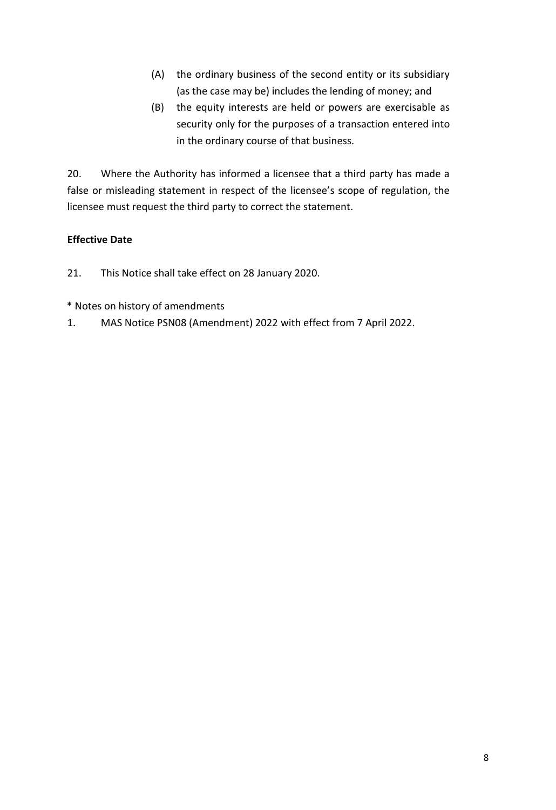- (A) the ordinary business of the second entity or its subsidiary (as the case may be) includes the lending of money; and
- (B) the equity interests are held or powers are exercisable as security only for the purposes of a transaction entered into in the ordinary course of that business.

20. Where the Authority has informed a licensee that a third party has made a false or misleading statement in respect of the licensee's scope of regulation, the licensee must request the third party to correct the statement.

## **Effective Date**

- 21. This Notice shall take effect on 28 January 2020.
- \* Notes on history of amendments
- 1. MAS Notice PSN08 (Amendment) 2022 with effect from 7 April 2022.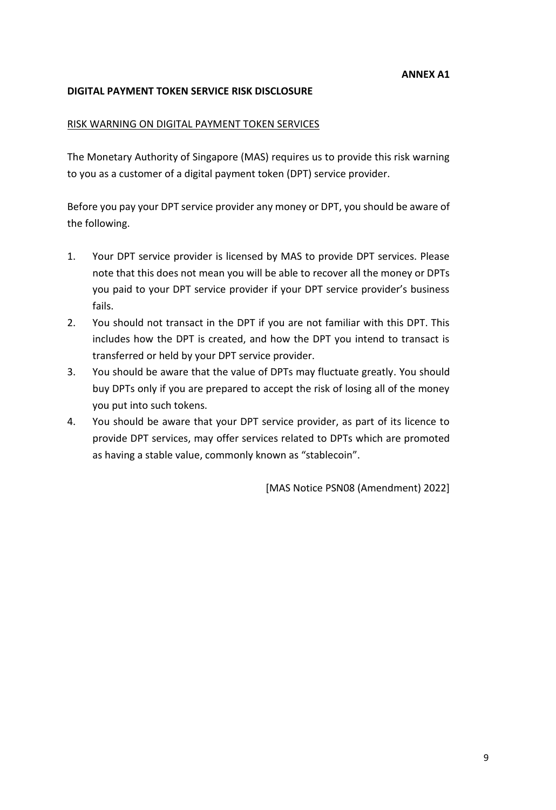### **DIGITAL PAYMENT TOKEN SERVICE RISK DISCLOSURE**

#### RISK WARNING ON DIGITAL PAYMENT TOKEN SERVICES

The Monetary Authority of Singapore (MAS) requires us to provide this risk warning to you as a customer of a digital payment token (DPT) service provider.

Before you pay your DPT service provider any money or DPT, you should be aware of the following.

- 1. Your DPT service provider is licensed by MAS to provide DPT services. Please note that this does not mean you will be able to recover all the money or DPTs you paid to your DPT service provider if your DPT service provider's business fails.
- 2. You should not transact in the DPT if you are not familiar with this DPT. This includes how the DPT is created, and how the DPT you intend to transact is transferred or held by your DPT service provider.
- 3. You should be aware that the value of DPTs may fluctuate greatly. You should buy DPTs only if you are prepared to accept the risk of losing all of the money you put into such tokens.
- 4. You should be aware that your DPT service provider, as part of its licence to provide DPT services, may offer services related to DPTs which are promoted as having a stable value, commonly known as "stablecoin".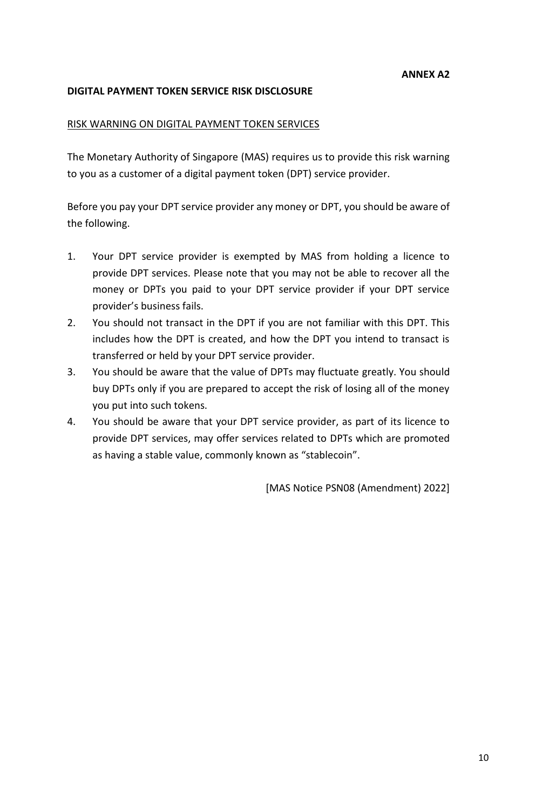### **DIGITAL PAYMENT TOKEN SERVICE RISK DISCLOSURE**

#### RISK WARNING ON DIGITAL PAYMENT TOKEN SERVICES

The Monetary Authority of Singapore (MAS) requires us to provide this risk warning to you as a customer of a digital payment token (DPT) service provider.

Before you pay your DPT service provider any money or DPT, you should be aware of the following.

- 1. Your DPT service provider is exempted by MAS from holding a licence to provide DPT services. Please note that you may not be able to recover all the money or DPTs you paid to your DPT service provider if your DPT service provider's business fails.
- 2. You should not transact in the DPT if you are not familiar with this DPT. This includes how the DPT is created, and how the DPT you intend to transact is transferred or held by your DPT service provider.
- 3. You should be aware that the value of DPTs may fluctuate greatly. You should buy DPTs only if you are prepared to accept the risk of losing all of the money you put into such tokens.
- 4. You should be aware that your DPT service provider, as part of its licence to provide DPT services, may offer services related to DPTs which are promoted as having a stable value, commonly known as "stablecoin".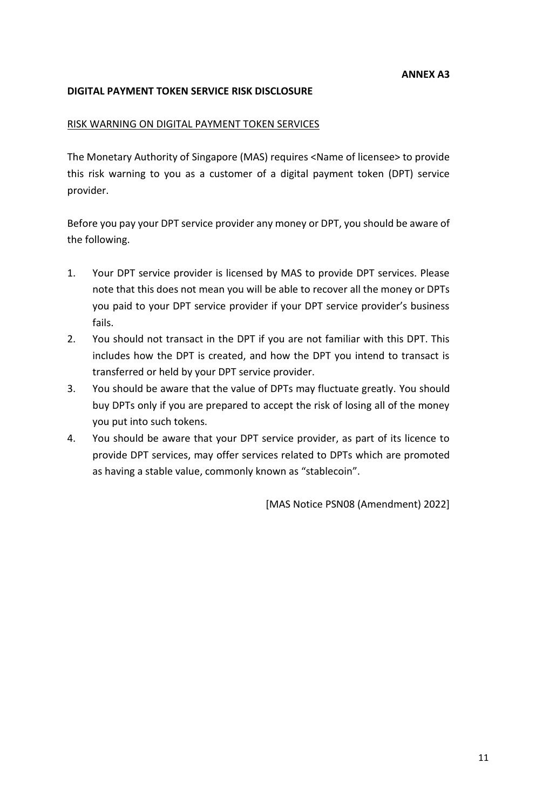### **DIGITAL PAYMENT TOKEN SERVICE RISK DISCLOSURE**

#### RISK WARNING ON DIGITAL PAYMENT TOKEN SERVICES

The Monetary Authority of Singapore (MAS) requires <Name of licensee> to provide this risk warning to you as a customer of a digital payment token (DPT) service provider.

Before you pay your DPT service provider any money or DPT, you should be aware of the following.

- 1. Your DPT service provider is licensed by MAS to provide DPT services. Please note that this does not mean you will be able to recover all the money or DPTs you paid to your DPT service provider if your DPT service provider's business fails.
- 2. You should not transact in the DPT if you are not familiar with this DPT. This includes how the DPT is created, and how the DPT you intend to transact is transferred or held by your DPT service provider.
- 3. You should be aware that the value of DPTs may fluctuate greatly. You should buy DPTs only if you are prepared to accept the risk of losing all of the money you put into such tokens.
- 4. You should be aware that your DPT service provider, as part of its licence to provide DPT services, may offer services related to DPTs which are promoted as having a stable value, commonly known as "stablecoin".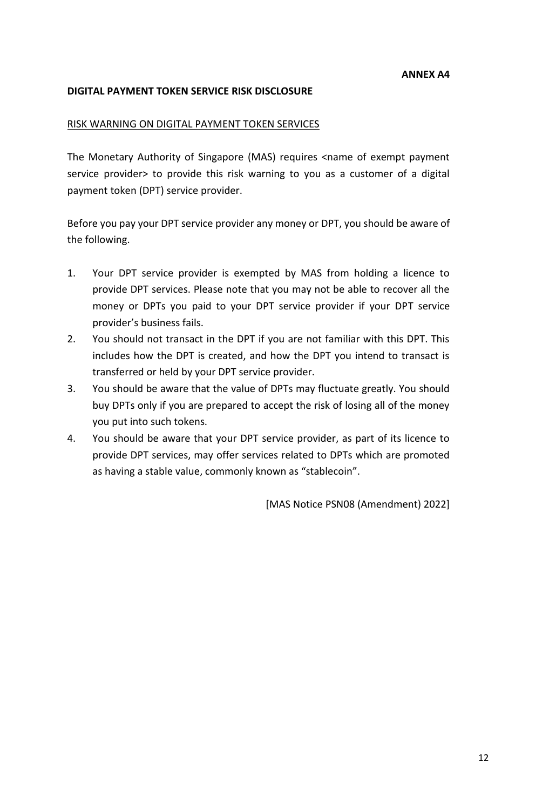#### **DIGITAL PAYMENT TOKEN SERVICE RISK DISCLOSURE**

#### RISK WARNING ON DIGITAL PAYMENT TOKEN SERVICES

The Monetary Authority of Singapore (MAS) requires <name of exempt payment service provider> to provide this risk warning to you as a customer of a digital payment token (DPT) service provider.

Before you pay your DPT service provider any money or DPT, you should be aware of the following.

- 1. Your DPT service provider is exempted by MAS from holding a licence to provide DPT services. Please note that you may not be able to recover all the money or DPTs you paid to your DPT service provider if your DPT service provider's business fails.
- 2. You should not transact in the DPT if you are not familiar with this DPT. This includes how the DPT is created, and how the DPT you intend to transact is transferred or held by your DPT service provider.
- 3. You should be aware that the value of DPTs may fluctuate greatly. You should buy DPTs only if you are prepared to accept the risk of losing all of the money you put into such tokens.
- 4. You should be aware that your DPT service provider, as part of its licence to provide DPT services, may offer services related to DPTs which are promoted as having a stable value, commonly known as "stablecoin".